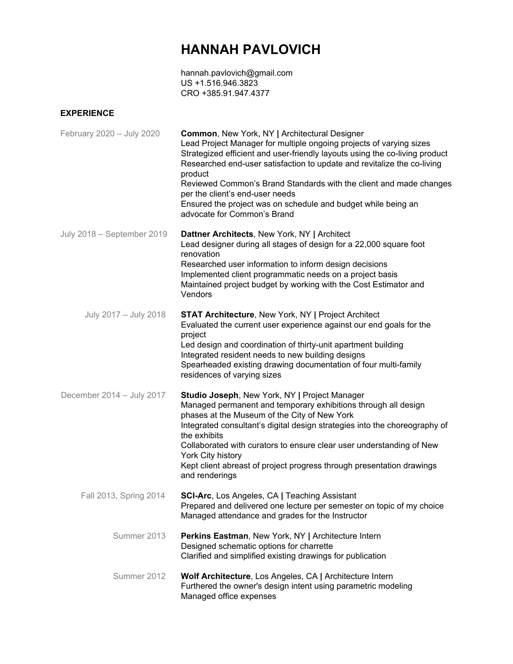## **HANNAH PAVLOVICH**

hannah.pavlovich@gmail.com US +1.516.946.3823 CRO +385.91.947.4377

## **EXPERIENCE**

| February 2020 - July 2020  | <b>Common, New York, NY   Architectural Designer</b><br>Lead Project Manager for multiple ongoing projects of varying sizes<br>Strategized efficient and user-friendly layouts using the co-living product<br>Researched end-user satisfaction to update and revitalize the co-living<br>product<br>Reviewed Common's Brand Standards with the client and made changes<br>per the client's end-user needs<br>Ensured the project was on schedule and budget while being an<br>advocate for Common's Brand |
|----------------------------|-----------------------------------------------------------------------------------------------------------------------------------------------------------------------------------------------------------------------------------------------------------------------------------------------------------------------------------------------------------------------------------------------------------------------------------------------------------------------------------------------------------|
| July 2018 - September 2019 | Dattner Architects, New York, NY   Architect<br>Lead designer during all stages of design for a 22,000 square foot<br>renovation<br>Researched user information to inform design decisions<br>Implemented client programmatic needs on a project basis<br>Maintained project budget by working with the Cost Estimator and<br>Vendors                                                                                                                                                                     |
| July 2017 - July 2018      | <b>STAT Architecture, New York, NY   Project Architect</b><br>Evaluated the current user experience against our end goals for the<br>project<br>Led design and coordination of thirty-unit apartment building<br>Integrated resident needs to new building designs<br>Spearheaded existing drawing documentation of four multi-family<br>residences of varying sizes                                                                                                                                      |
| December 2014 - July 2017  | Studio Joseph, New York, NY   Project Manager<br>Managed permanent and temporary exhibitions through all design<br>phases at the Museum of the City of New York<br>Integrated consultant's digital design strategies into the choreography of<br>the exhibits<br>Collaborated with curators to ensure clear user understanding of New<br>York City history<br>Kept client abreast of project progress through presentation drawings<br>and renderings                                                     |
| Fall 2013, Spring 2014     | <b>SCI-Arc</b> , Los Angeles, CA   Teaching Assistant<br>Prepared and delivered one lecture per semester on topic of my choice<br>Managed attendance and grades for the Instructor                                                                                                                                                                                                                                                                                                                        |
| Summer 2013                | Perkins Eastman, New York, NY   Architecture Intern<br>Designed schematic options for charrette<br>Clarified and simplified existing drawings for publication                                                                                                                                                                                                                                                                                                                                             |
| Summer 2012                | Wolf Architecture, Los Angeles, CA   Architecture Intern<br>Furthered the owner's design intent using parametric modeling<br>Managed office expenses                                                                                                                                                                                                                                                                                                                                                      |